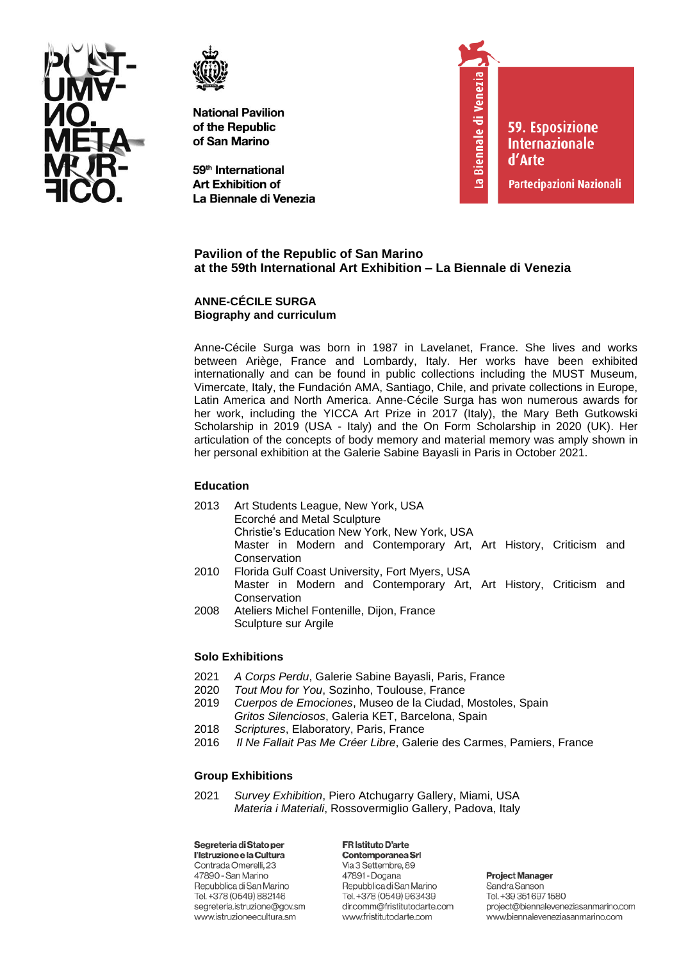



59<sup>th</sup> International **Art Exhibition of** La Biennale di Venezia



**59. Esposizione Internazionale** d'Arte

Partecipazioni Nazionali

# **Pavilion of the Republic of San Marino at the 59th International Art Exhibition – La Biennale di Venezia**

#### **ANNE-CÉCILE SURGA Biography and curriculum**

Anne-Cécile Surga was born in 1987 in Lavelanet, France. She lives and works between Ariège, France and Lombardy, Italy. Her works have been exhibited internationally and can be found in public collections including the MUST Museum, Vimercate, Italy, the Fundación AMA, Santiago, Chile, and private collections in Europe, Latin America and North America. Anne-Cécile Surga has won numerous awards for her work, including the YICCA Art Prize in 2017 (Italy), the Mary Beth Gutkowski Scholarship in 2019 (USA - Italy) and the On Form Scholarship in 2020 (UK). Her articulation of the concepts of body memory and material memory was amply shown in her personal exhibition at the Galerie Sabine Bayasli in Paris in October 2021.

# **Education**

- 2013 Art Students League, New York, USA Ecorché and Metal Sculpture Christie's Education New York, New York, USA Master in Modern and Contemporary Art, Art History, Criticism and Conservation
- 2010 Florida Gulf Coast University, Fort Myers, USA Master in Modern and Contemporary Art, Art History, Criticism and **Conservation**
- 2008 Ateliers Michel Fontenille, Dijon, France Sculpture sur Argile

# **Solo Exhibitions**

- 2021 *A Corps Perdu*, Galerie Sabine Bayasli, Paris, France
- 2020 *Tout Mou for You*, Sozinho, Toulouse, France
- 2019 *Cuerpos de Emociones*, Museo de la Ciudad, Mostoles, Spain *Gritos Silenciosos*, Galeria KET, Barcelona, Spain
- 2018 *Scriptures*, Elaboratory, Paris, France
- 2016 *Il Ne Fallait Pas Me Créer Libre*, Galerie des Carmes, Pamiers, France

# **Group Exhibitions**

2021 *Survey Exhibition*, Piero Atchugarry Gallery, Miami, USA *Materia i Materiali*, Rossovermiglio Gallery, Padova, Italy

Segreteria di Stato per l'Istruzione e la Cultura Contrada Omerelli, 23 47890 - San Marino Repubblica di San Marino Tel. +378 (0549) 882146 segreteria.istruzione@gov.sm www.istruzioneecultura.sm

FR Istituto D'arte Contemporanea Srl Via 3 Settembre, 89 47891 - Dogana Repubblica di San Marino Tel. +378 (0549) 963439 dir.comm@fristitutodarte.com www.fristitutodarte.com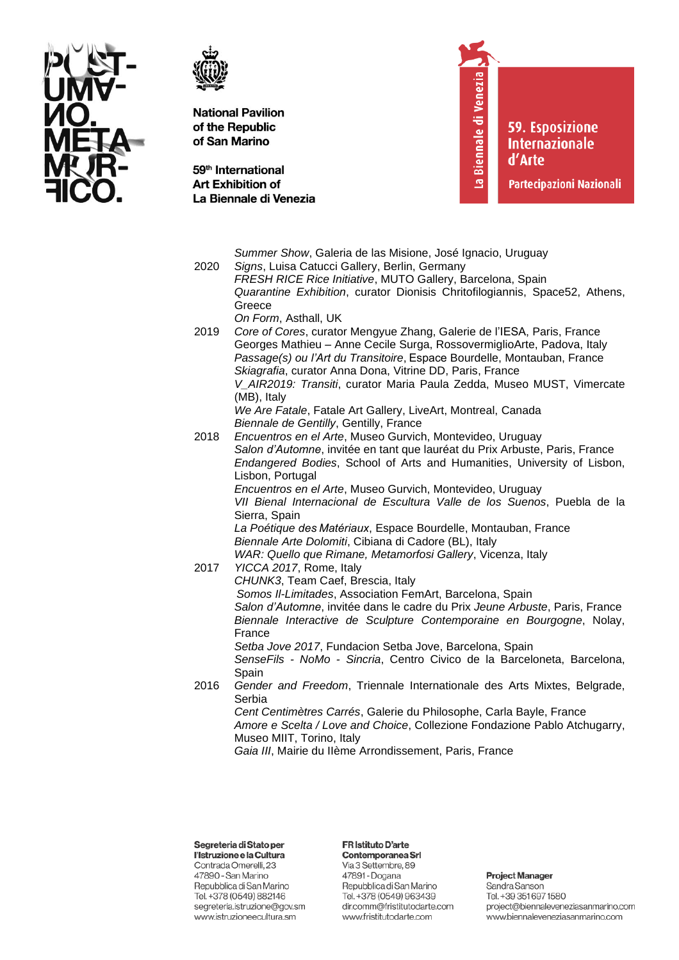



59<sup>th</sup> International **Art Exhibition of** La Biennale di Venezia La Biennale di Venezia

59. Esposizione **Internazionale** d'Arte

Partecipazioni Nazionali

|      | Summer Show, Galeria de las Misione, José Ignacio, Uruguay                                                                                                                                                                                                                                                                                                       |
|------|------------------------------------------------------------------------------------------------------------------------------------------------------------------------------------------------------------------------------------------------------------------------------------------------------------------------------------------------------------------|
| 2020 | Signs, Luisa Catucci Gallery, Berlin, Germany                                                                                                                                                                                                                                                                                                                    |
|      | FRESH RICE Rice Initiative, MUTO Gallery, Barcelona, Spain                                                                                                                                                                                                                                                                                                       |
|      | Quarantine Exhibition, curator Dionisis Chritofilogiannis, Space52, Athens,                                                                                                                                                                                                                                                                                      |
|      | Greece                                                                                                                                                                                                                                                                                                                                                           |
|      | On Form, Asthall, UK                                                                                                                                                                                                                                                                                                                                             |
| 2019 | Core of Cores, curator Mengyue Zhang, Galerie de l'IESA, Paris, France<br>Georges Mathieu - Anne Cecile Surga, RossovermiglioArte, Padova, Italy<br>Passage(s) ou l'Art du Transitoire, Espace Bourdelle, Montauban, France<br>Skiagrafia, curator Anna Dona, Vitrine DD, Paris, France<br>V_AIR2019: Transiti, curator Maria Paula Zedda, Museo MUST, Vimercate |
|      | (MB), Italy<br>We Are Fatale, Fatale Art Gallery, LiveArt, Montreal, Canada                                                                                                                                                                                                                                                                                      |
|      | Biennale de Gentilly, Gentilly, France                                                                                                                                                                                                                                                                                                                           |
| 2018 | Encuentros en el Arte, Museo Gurvich, Montevideo, Uruguay<br>Salon d'Automne, invitée en tant que lauréat du Prix Arbuste, Paris, France<br>Endangered Bodies, School of Arts and Humanities, University of Lisbon,<br>Lisbon, Portugal                                                                                                                          |
|      | Encuentros en el Arte, Museo Gurvich, Montevideo, Uruguay                                                                                                                                                                                                                                                                                                        |
|      | VII Bienal Internacional de Escultura Valle de los Suenos, Puebla de la                                                                                                                                                                                                                                                                                          |
|      | Sierra, Spain                                                                                                                                                                                                                                                                                                                                                    |
|      | La Poétique des Matériaux, Espace Bourdelle, Montauban, France                                                                                                                                                                                                                                                                                                   |
|      | Biennale Arte Dolomiti, Cibiana di Cadore (BL), Italy                                                                                                                                                                                                                                                                                                            |
| 2017 | WAR: Quello que Rimane, Metamorfosi Gallery, Vicenza, Italy<br>YICCA 2017, Rome, Italy                                                                                                                                                                                                                                                                           |
|      | CHUNK3, Team Caef, Brescia, Italy                                                                                                                                                                                                                                                                                                                                |
|      | Somos II-Limitades, Association FemArt, Barcelona, Spain                                                                                                                                                                                                                                                                                                         |
|      | Salon d'Automne, invitée dans le cadre du Prix Jeune Arbuste, Paris, France                                                                                                                                                                                                                                                                                      |
|      | Biennale Interactive de Sculpture Contemporaine en Bourgogne, Nolay,                                                                                                                                                                                                                                                                                             |
|      | France                                                                                                                                                                                                                                                                                                                                                           |
|      | Setba Jove 2017, Fundacion Setba Jove, Barcelona, Spain                                                                                                                                                                                                                                                                                                          |
|      | SenseFils - NoMo - Sincria, Centro Civico de la Barceloneta, Barcelona,                                                                                                                                                                                                                                                                                          |
|      | Spain                                                                                                                                                                                                                                                                                                                                                            |
| 2016 | Gender and Freedom, Triennale Internationale des Arts Mixtes, Belgrade,<br>Serbia                                                                                                                                                                                                                                                                                |
|      | Cent Centimètres Carrés, Galerie du Philosophe, Carla Bayle, France<br>Amore e Scelta / Love and Choice, Collezione Fondazione Pablo Atchugarry,<br>Museo MIIT, Torino, Italy                                                                                                                                                                                    |
|      | Gaia III, Mairie du Ilème Arrondissement, Paris, France                                                                                                                                                                                                                                                                                                          |

Segreteria di Stato per l'Istruzione e la Cultura

Contrada Omerelli, 23 47890 - San Marino Repubblica di San Marino Tel. +378 (0549) 882146 segreteria.istruzione@gov.sm www.istruzioneecultura.sm

# FR Istituto D'arte

Contemporanea Srl Via 3 Settembre, 89 47891 - Dogana Repubblica di San Marino Tel. +378 (0549) 963439 dir.comm@fristitutodarte.com www.fristitutodarte.com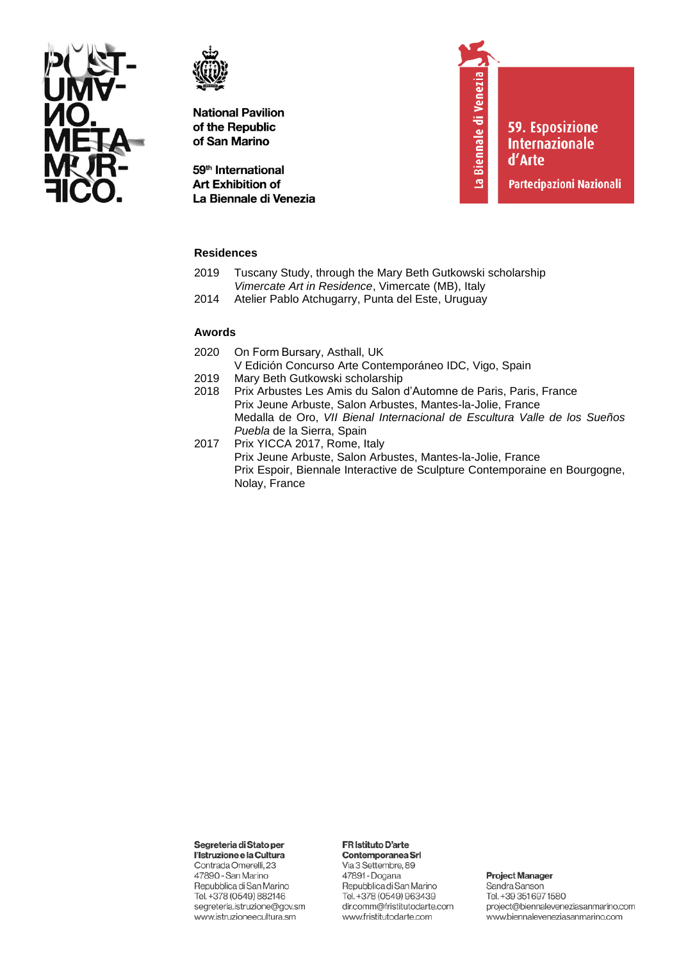



59<sup>th</sup> International **Art Exhibition of** La Biennale di Venezia La Biennale di Venezia

**59. Esposizione Internazionale** d'Arte

Partecipazioni Nazionali

## **Residences**

- 2019 Tuscany Study, through the Mary Beth Gutkowski scholarship *Vimercate Art in Residence*, Vimercate (MB), Italy
- 2014 Atelier Pablo Atchugarry, Punta del Este, Uruguay

#### **Awords**

- 2020 On Form Bursary, Asthall, UK V Edición Concurso Arte Contemporáneo IDC, Vigo, Spain
- 2019 Mary Beth Gutkowski scholarship
- 2018 Prix Arbustes Les Amis du Salon d'Automne de Paris, Paris, France Prix Jeune Arbuste, Salon Arbustes, Mantes-la-Jolie, France Medalla de Oro, *VII Bienal Internacional de Escultura Valle de los Sueños Puebla* de la Sierra, Spain
- 2017 Prix YICCA 2017, Rome, Italy Prix Jeune Arbuste, Salon Arbustes, Mantes-la-Jolie, France Prix Espoir, Biennale Interactive de Sculpture Contemporaine en Bourgogne, Nolay, France

Segreteria di Stato per

l'Istruzione e la Cultura Contrada Omerelli, 23 47890 - San Marino Repubblica di San Marino Tel. +378 (0549) 882146 segreteria.istruzione@gov.sm www.istruzioneecultura.sm

# FR Istituto D'arte

Contemporanea Srl Via 3 Settembre, 89 47891 - Dogana Repubblica di San Marino Tel. +378 (0549) 963439 dir.comm@fristitutodarte.com www.fristitutodarte.com

**Project Manager**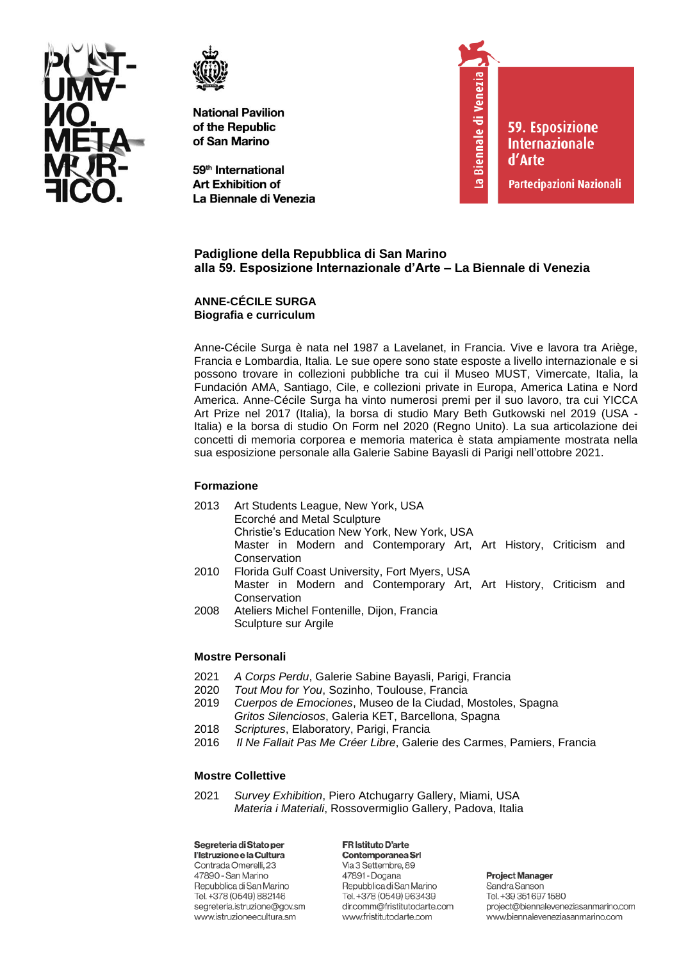



59<sup>th</sup> International **Art Exhibition of** La Biennale di Venezia



**59. Esposizione Internazionale** d'Arte

Partecipazioni Nazionali

# **Padiglione della Repubblica di San Marino alla 59. Esposizione Internazionale d'Arte – La Biennale di Venezia**

### **ANNE-CÉCILE SURGA Biografia e curriculum**

Anne-Cécile Surga è nata nel 1987 a Lavelanet, in Francia. Vive e lavora tra Ariège, Francia e Lombardia, Italia. Le sue opere sono state esposte a livello internazionale e si possono trovare in collezioni pubbliche tra cui il Museo MUST, Vimercate, Italia, la Fundación AMA, Santiago, Cile, e collezioni private in Europa, America Latina e Nord America. Anne-Cécile Surga ha vinto numerosi premi per il suo lavoro, tra cui YICCA Art Prize nel 2017 (Italia), la borsa di studio Mary Beth Gutkowski nel 2019 (USA - Italia) e la borsa di studio On Form nel 2020 (Regno Unito). La sua articolazione dei concetti di memoria corporea e memoria materica è stata ampiamente mostrata nella sua esposizione personale alla Galerie Sabine Bayasli di Parigi nell'ottobre 2021.

# **Formazione**

- 2013 Art Students League, New York, USA Ecorché and Metal Sculpture Christie's Education New York, New York, USA Master in Modern and Contemporary Art, Art History, Criticism and **Conservation**
- 2010 Florida Gulf Coast University, Fort Myers, USA Master in Modern and Contemporary Art, Art History, Criticism and **Conservation**
- 2008 Ateliers Michel Fontenille, Dijon, Francia Sculpture sur Argile

# **Mostre Personali**

- 2021 *A Corps Perdu*, Galerie Sabine Bayasli, Parigi, Francia
- 2020 *Tout Mou for You*, Sozinho, Toulouse, Francia
- 2019 *Cuerpos de Emociones*, Museo de la Ciudad, Mostoles, Spagna *Gritos Silenciosos*, Galeria KET, Barcellona, Spagna
- 2018 *Scriptures*, Elaboratory, Parigi, Francia
- 2016 *Il Ne Fallait Pas Me Créer Libre*, Galerie des Carmes, Pamiers, Francia

# **Mostre Collettive**

2021 *Survey Exhibition*, Piero Atchugarry Gallery, Miami, USA *Materia i Materiali*, Rossovermiglio Gallery, Padova, Italia

Segreteria di Stato per l'Istruzione e la Cultura Contrada Omerelli, 23 47890 - San Marino Repubblica di San Marino Tel. +378 (0549) 882146 segreteria.istruzione@gov.sm www.istruzioneecultura.sm

FR Istituto D'arte Contemporanea Srl Via 3 Settembre, 89 47891 - Dogana Repubblica di San Marino Tel. +378 (0549) 963439 dir.comm@fristitutodarte.com www.fristitutodarte.com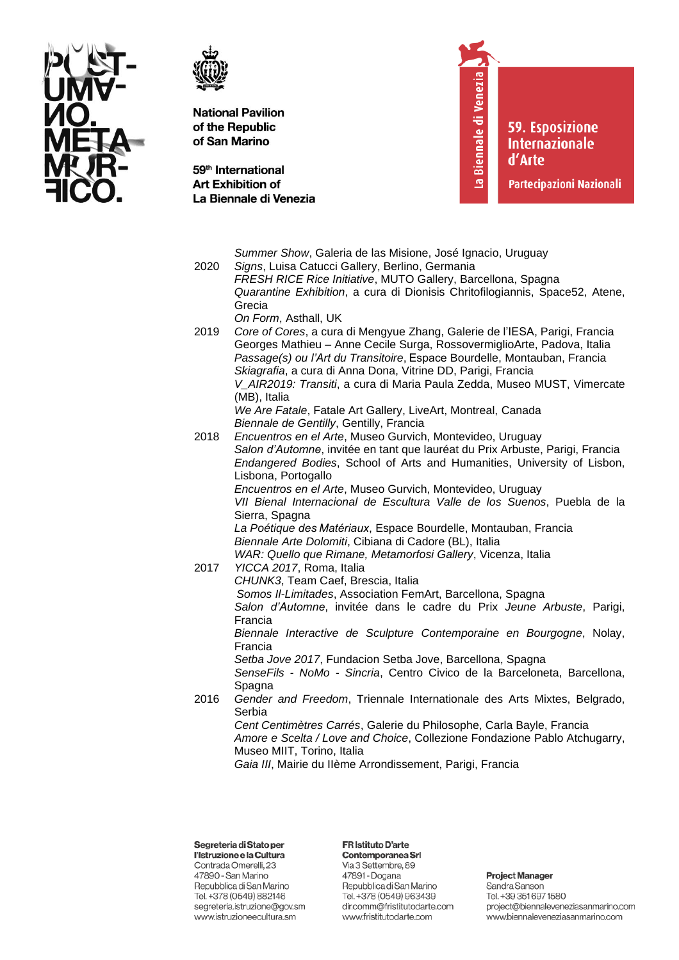



59<sup>th</sup> International **Art Exhibition of** La Biennale di Venezia La Biennale di Venezia

59. Esposizione **Internazionale** d'Arte

Partecipazioni Nazionali

| 2020 | Summer Show, Galeria de las Misione, José Ignacio, Uruguay<br>Signs, Luisa Catucci Gallery, Berlino, Germania<br>FRESH RICE Rice Initiative, MUTO Gallery, Barcellona, Spagna<br>Quarantine Exhibition, a cura di Dionisis Chritofilogiannis, Space52, Atene,<br>Grecia                                                                                                                                                                                                                                                                                                 |
|------|-------------------------------------------------------------------------------------------------------------------------------------------------------------------------------------------------------------------------------------------------------------------------------------------------------------------------------------------------------------------------------------------------------------------------------------------------------------------------------------------------------------------------------------------------------------------------|
| 2019 | On Form, Asthall, UK<br>Core of Cores, a cura di Mengyue Zhang, Galerie de l'IESA, Parigi, Francia<br>Georges Mathieu - Anne Cecile Surga, RossovermiglioArte, Padova, Italia<br>Passage(s) ou l'Art du Transitoire, Espace Bourdelle, Montauban, Francia<br>Skiagrafia, a cura di Anna Dona, Vitrine DD, Parigi, Francia<br>V_AIR2019: Transiti, a cura di Maria Paula Zedda, Museo MUST, Vimercate<br>(MB), Italia                                                                                                                                                    |
| 2018 | We Are Fatale, Fatale Art Gallery, LiveArt, Montreal, Canada<br>Biennale de Gentilly, Gentilly, Francia<br>Encuentros en el Arte, Museo Gurvich, Montevideo, Uruguay<br>Salon d'Automne, invitée en tant que lauréat du Prix Arbuste, Parigi, Francia<br>Endangered Bodies, School of Arts and Humanities, University of Lisbon,<br>Lisbona, Portogallo<br>Encuentros en el Arte, Museo Gurvich, Montevideo, Uruguay<br>VII Bienal Internacional de Escultura Valle de los Suenos, Puebla de la                                                                         |
| 2017 | Sierra, Spagna<br>La Poétique des Matériaux, Espace Bourdelle, Montauban, Francia<br>Biennale Arte Dolomiti, Cibiana di Cadore (BL), Italia<br>WAR: Quello que Rimane, Metamorfosi Gallery, Vicenza, Italia<br>YICCA 2017, Roma, Italia<br>CHUNK3, Team Caef, Brescia, Italia<br>Somos II-Limitades, Association FemArt, Barcellona, Spagna<br>Salon d'Automne, invitée dans le cadre du Prix Jeune Arbuste, Parigi,<br>Francia                                                                                                                                         |
| 2016 | Biennale Interactive de Sculpture Contemporaine en Bourgogne, Nolay,<br>Francia<br>Setba Jove 2017, Fundacion Setba Jove, Barcellona, Spagna<br>SenseFils - NoMo - Sincria, Centro Civico de la Barceloneta, Barcellona,<br>Spagna<br>Gender and Freedom, Triennale Internationale des Arts Mixtes, Belgrado,<br>Serbia<br>Cent Centimètres Carrés, Galerie du Philosophe, Carla Bayle, Francia<br>Amore e Scelta / Love and Choice, Collezione Fondazione Pablo Atchugarry,<br>Museo MIIT, Torino, Italia<br>Gaia III, Mairie du Ilème Arrondissement, Parigi, Francia |

Segreteria di Stato per l'Istruzione e la Cultura

Contrada Omerelli, 23 47890 - San Marino Repubblica di San Marino Tel. +378 (0549) 882146 segreteria.istruzione@gov.sm www.istruzioneecultura.sm

#### FR Istituto D'arte Contemporanea Srl

Via 3 Settembre, 89 47891 - Dogana Repubblica di San Marino Tel. +378 (0549) 963439 dir.comm@fristitutodarte.com www.fristitutodarte.com